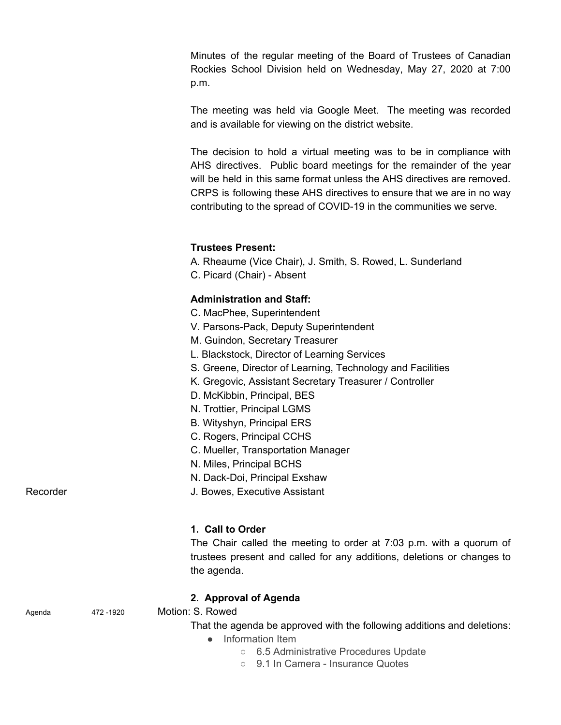Minutes of the regular meeting of the Board of Trustees of Canadian Rockies School Division held on Wednesday, May 27, 2020 at 7:00 p.m.

The meeting was held via Google Meet. The meeting was recorded and is available for viewing on the district website.

The decision to hold a virtual meeting was to be in compliance with AHS directives. Public board meetings for the remainder of the year will be held in this same format unless the AHS directives are removed. CRPS is following these AHS directives to ensure that we are in no way contributing to the spread of COVID-19 in the communities we serve.

# **Trustees Present:**

- A. Rheaume (Vice Chair), J. Smith, S. Rowed, L. Sunderland
- C. Picard (Chair) Absent

# **Administration and Staff:**

- C. MacPhee, Superintendent
- V. Parsons-Pack, Deputy Superintendent
- M. Guindon, Secretary Treasurer
- L. Blackstock, Director of Learning Services
- S. Greene, Director of Learning, Technology and Facilities
- K. Gregovic, Assistant Secretary Treasurer / Controller
- D. McKibbin, Principal, BES
- N. Trottier, Principal LGMS
- B. Wityshyn, Principal ERS
- C. Rogers, Principal CCHS
- C. Mueller, Transportation Manager
- N. Miles, Principal BCHS
- N. Dack-Doi, Principal Exshaw

Recorder **Network** J. Bowes, Executive Assistant

## **1. Call to Order**

The Chair called the meeting to order at 7:03 p.m. with a quorum of trustees present and called for any additions, deletions or changes to the agenda.

## **2. Approval of Agenda**

Agenda 472 -1920 Motion: S. Rowed

That the agenda be approved with the following additions and deletions:

- Information Item
	- 6.5 Administrative Procedures Update
	- 9.1 In Camera Insurance Quotes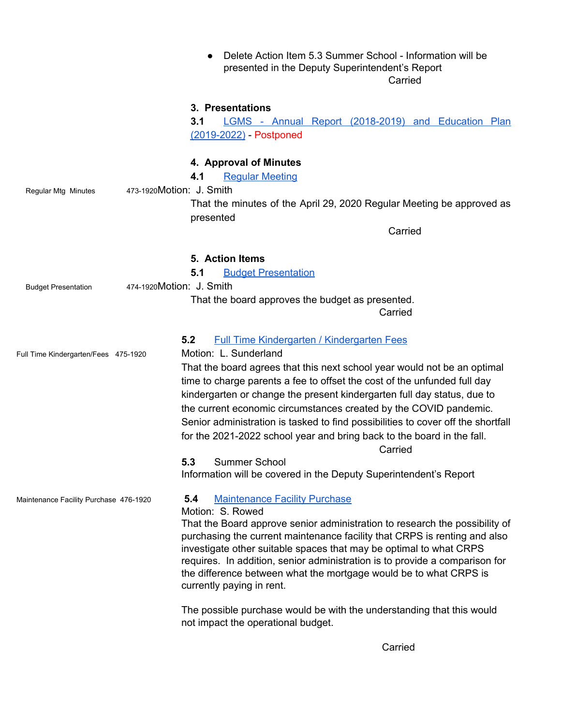**●** Delete Action Item 5.3 Summer School - Information will be presented in the Deputy Superintendent's Report **Carried** 

#### **3. Presentations**

**3.1** LGMS - Annual Report [\(2018-2019\)](https://lgms.crps.ca/documents/general/2019%20-%202022%20Three%20year%20PLan%20Template%20-%20LGMS.pdf) and Education Plan [\(2019-2022\)](https://lgms.crps.ca/documents/general/2019%20-%202022%20Three%20year%20PLan%20Template%20-%20LGMS.pdf) - Postponed

#### **4. Approval of Minutes**

**4.1** Regular [Meeting](https://crps.ca/documents/general/Minutes%20April%2029%202020.pdf)

Regular Mtg Minutes 473-1920Motion: J. Smith

That the minutes of the April 29, 2020 Regular Meeting be approved as presented

**Carried** 

#### **5. Action Items**

**5.1** Budget [Presentation](https://drive.google.com/file/d/1MytsyDO9w18xKc-RD6NFxXrRW0qUSdPV/view?usp=sharing)

Budget Presentation 474-1920Motion: J. Smith

# That the board approves the budget as presented. Carried

# **5.2** Full Time [Kindergarten](https://drive.google.com/file/d/1OhWrTOLJ2tC7KzQ32PjH_cZD6CZRrfT1/view?usp=sharing) / Kindergarten Fees

Full Time Kindergarten/Fees 475-1920 Motion: L. Sunderland

That the board agrees that this next school year would not be an optimal time to charge parents a fee to offset the cost of the unfunded full day kindergarten or change the present kindergarten full day status, due to the current economic circumstances created by the COVID pandemic. Senior administration is tasked to find possibilities to cover off the shortfall for the 2021-2022 school year and bring back to the board in the fall.

Carried

Information will be covered in the Deputy Superintendent's Report

## Maintenance Facility Purchase 476-1920 **5.4** [Maintenance](https://drive.google.com/file/d/1ObGC1nAo9mY4O8ON3LJ--WmcchIW_Hm5/view?usp=sharing) Facility Purchase

#### Motion: S. Rowed

**5.3** Summer School

That the Board approve senior administration to research the possibility of purchasing the current maintenance facility that CRPS is renting and also investigate other suitable spaces that may be optimal to what CRPS requires. In addition, senior administration is to provide a comparison for the difference between what the mortgage would be to what CRPS is currently paying in rent.

The possible purchase would be with the understanding that this would not impact the operational budget.

Carried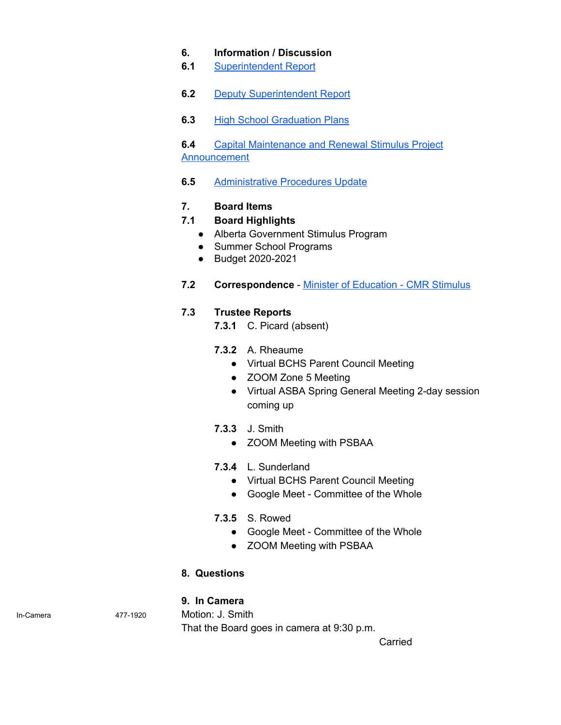# **6. Information / Discussion**

- **6.1** [Superintendent](https://drive.google.com/file/d/1Mz25zK1-z_1ts0AX5J0wef5ssXkU7dD3/view?usp=sharing) Report
- **6.2** Deputy [Superintendent](https://drive.google.com/file/d/1OWkS3VZts_uiDujEWO8kjjEtBoFj1uUa/view?usp=sharing) Report
- **6.3** High School [Graduation](https://drive.google.com/file/d/1OIqtX6X1QKn8KYhxL0Y1LjxL5ZIAhvtb/view?usp=sharing) Plans

**6.4** Capital [Maintenance](https://drive.google.com/file/d/1OEk1jtdDYu_fULzqR3K5OIBo5WzROgPv/view?usp=sharing) and Renewal Stimulus Project [Announcement](https://drive.google.com/file/d/1OEk1jtdDYu_fULzqR3K5OIBo5WzROgPv/view?usp=sharing)

**6.5** [Administrative](https://drive.google.com/file/d/1OELjLoVUrWCPbvxvYIgb-47u0vk5ENv9/view?usp=sharing) Procedures Update

# **7. Board Items**

## **7.1 Board Highlights**

- Alberta Government Stimulus Program
- Summer School Programs
- Budget 2020-2021
- **7.2 Correspondence** Minister of [Education](https://drive.google.com/file/d/1KRf-aVtknRDS7r8NuBWMDVD5hHI1t0JY/view?usp=sharing) CMR Stimulus

# **7.3 Trustee Reports**

**7.3.1** C. Picard (absent)

- **7.3.2** A. Rheaume
	- Virtual BCHS Parent Council Meeting
	- ZOOM Zone 5 Meeting
	- Virtual ASBA Spring General Meeting 2-day session coming up
- **7.3.3** J. Smith
	- ZOOM Meeting with PSBAA
- **7.3.4** L. Sunderland
	- Virtual BCHS Parent Council Meeting
	- Google Meet Committee of the Whole
- **7.3.5** S. Rowed
	- Google Meet Committee of the Whole
	- ZOOM Meeting with PSBAA

## **8. Questions**

## **9. In Camera**

In-Camera 477-1920 Motion: J. Smith

That the Board goes in camera at 9:30 p.m.

Carried